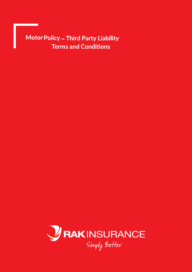Motor Policy - Third Party Liability **Terms and Conditions** 

<u> Tanzania (</u>

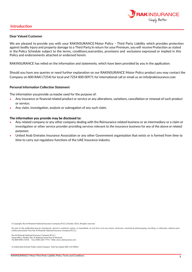

### **Introduction**

#### **Dear Valued Customer**

We are pleased to provide you with your RAKINSURANCE Motor Policy – Third Party Liability which provides protection against bodily injury and property damage to a Third Party. In return for your Premium, youwill receive Protection as stated in the Policy Schedule subject to the terms, conditions, warranties, provisions and exclusions expressed or implied in this Policy and endorsements attached or endorsed herein.

RAKINSURANCE has relied on the information and statements, which have been provided by you in the application.

Should you have any queries or need further explanation on our RAKINSURANCE Motor Policy product you may contact the Company on 800 RAKI (7254) for local and 7254 800 00971 for International call or email us on info@rakinsurance.com.

### **Personal Information Collection Statement**

The information you provide us maybe used for the purpose of:

- Any insurance or financial related product or service or any alterations, variations, cancellation or renewal of such product or service;
- Any claim, investigation, analysis or subrogation of any such claim.

#### **The information you provide may be disclosed to:**

- Any related company or any other company dealing with the Reinsurance related business or an intermediary or a claim or investigation or other service provider providing services relevant to the insurance business for any of the above or related purposes;
- United Arab Emirates Insurance Association or any other Government organisation that exists or is formed from time to time to carry out regulatory functions of the UAE Insurance industry

© Copyright. Ras Al Khaimah National Insurance Company (P.S.C.) October 2016. All rights reserved.

No part of this publicationmay be reproduced, stored in aretrieval system, or transmitted, on any form or by any means, electronic, mechanical, photocopying, recording, or otherwise, without prior written permission from Ras Al Khaimah National Insurance Company (P.S.C.).

Ras Al Khaimah National Insurance Company (P.S.C.). Head Office: PO Box 506, Al Nakheel Street Ras Al Khaimah Tel: 800 RAKI (7254) Fax: 8500 228 7 971+ Web: www.rakinsurance.com

A United Arab Emirate Public Listed Company. Paid-Up Capital AED 110 Million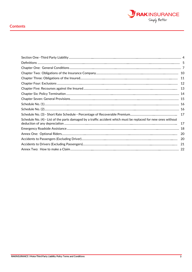

## **Contents**

|                                                                                                                | 12  |
|----------------------------------------------------------------------------------------------------------------|-----|
|                                                                                                                | 13  |
|                                                                                                                |     |
|                                                                                                                |     |
|                                                                                                                |     |
|                                                                                                                |     |
|                                                                                                                |     |
| Schedule No. (4) - List of the parts damaged by a traffic accident which must be replaced for new ones without | 17  |
|                                                                                                                |     |
|                                                                                                                | -20 |
|                                                                                                                |     |
|                                                                                                                |     |
|                                                                                                                |     |
|                                                                                                                |     |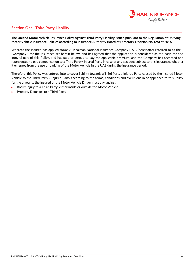

# **Section One–Third Party Liability**

**The Unified Motor Vehicle Insurance Policy Against Third Party Liability issued pursuant to the Regulation of Unifying Motor Vehicle Insurance Policies according to Insurance Authority Board of Directors' Decision No. (25) of 2016**

Whereas the Insured has applied to Ras Al Khaimah National Insurance Company P.S.C. (hereinafter referred to as the "**Company**") for the insurance set herein below, and has agreed that the application is considered as the basis for and integral part of this Policy, and has paid or agreed to pay the applicable premium, and the Company has accepted and represented to pay compensation to a Third Party/ Injured Party in case of any accident subject to this insurance, whether it emerges from the use or parking of the Motor Vehicle in the UAE during the insurance period;

Therefore, this Policy was entered into to cover liability towards a Third Party / Injured Party caused by the Insured Motor Vehicle to the Third Party / Injured Party according to the terms, conditions and exclusions in or appended to this Policy for the amounts the Insured or the Motor Vehicle Driver must pay against:

- Bodily Injury to a Third Party, either inside or outside the Motor Vehicle
- Property Damages to a Third Party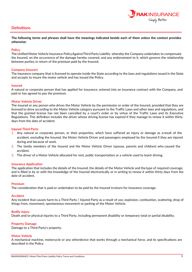## **Definitions**



**The following terms and phrases shall have the meanings indicated beside each of them unless the context provides otherwise:**

### **Policy**

The Unified Motor Vehicle Insurance Policy Against Third Party Liability whereby the Company undertakes to compensate the Insured, on the occurrence of the damage hereby covered, and any endorsement to it, which governs the relationship between parties, in return of the premium paid by the Insured.

### **Company (Insurer)**

The insurance company that is licensed to operate inside the State according to the laws and regulations issued in the State and accepts to insure the motor vehicle and has issued the Policy.

#### **Insured**

A natural or corporate person that has applied for insurance, entered into an insurance contract with the Company, and paid or has agreed to pay the premium.

#### **Motor Vehicle Driver**

The insured or any person who drives the Motor Vehicle by the permission or order of the Insured, provided that they are licensed to drive according to the Motor Vehicle category pursuant to the Traffic Laws and other laws and regulations, and that the granted license has not been cancelled by a court's order or by virtue of the Traffic Laws and its Executive Regulations. This definition includes the driver whose driving license has expired if they manage to renew it within thirty days from the date of accident.

#### **Injured Third Party**

- 1. Any natural or corporate person, or their properties, which have suffered an injury or damage as a result of the accident, excluding the Insured, the Motor Vehicle Driver and passengers employed by the Insured if they are injured during and because of work.
- 2. The family members of the Insured and the Motor Vehicle Driver (spouse, parents and children) who caused the accident.
- 3. The driver of a Motor Vehicle allocated for rent, public transportation or a vehicle used to teach driving.

### **Insurance Application**

The application that includes the details of the Insured, the details of the Motor Vehicle and the type of required coverage, and is filled in by or with the knowledge of the Insured electronically or in writing to renew it within thirty days from the date of accident.

#### **Premium**

The consideration that is paid or undertaken to be paid by the Insured inreturn for insurance coverage.

#### **Accident**

Any incident that causes harm to a Third Party / Injured Party as a result of use, explosion, combustion, scattering, drop of things from, movement, spontaneous movement or parking of the Motor Vehicle.

#### **Bodily Injury**

Death and/or physical injuries to a Third Party, including permanent disability or temporary total or partial disability.

### **Property Damage**

Damage to a Third Party's property.

### **Motor Vehicle**

A mechanical machine, motorcycle or any otherdevice that works through a mechanical force, and its specifications are described in the Policy.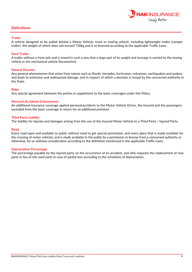## **Definitions**



### **Trailer**

A vehicle designed to be pulled behind a Motor Vehicle, truck or towing vehicle, including lightweight trailer (camper trailer), the weight of which does not exceed 750kg and it so licensed according to the applicable Traffic Laws.

### **Semi-Trailer**

A trailer without a front axle and is towed in such a way that a large part of its weight and tonnage is carried by the towing vehicle or the mechanical vehicle (locomotive).

### **Natural Disaster**

Any general phenomenon that arises from nature such as floods, tornados, hurricanes, volcanoes, earthquakes and quakes, and leads to extensive and widespread damage, and in respect of which a decision is issued by the concerned authority in the State.

### **Rider**

Any special agreement between the parties in supplement to the basic coverages under this Policy.

### **Personal Accidents Endorsement**

An additional insurance coverage against personal accidents to the Motor Vehicle Driver, the Insured and the passengers excluded from the basic coverage in return for an additional premium.

### **Third Party Liability**

The liability for injuries and damages arising from the use of the Insured Motor Vehicle to a Third Party / Injured Party.

### **Road**

Every road open and available to public without need to get special permission, and every place that is made available for the crossing of motor vehicles, and is made available to the public by a permission or license from a concerned authority or otherwise, for or without consideration according to the definition mentioned in the applicable Traffic Laws.

### **Depreciation Percentage**

The percentage payable by the injured party on the occurrence of an accident, and who requests the replacement of new parts in lieu of the used parts in case of partial loss according to the schedules of depreciation.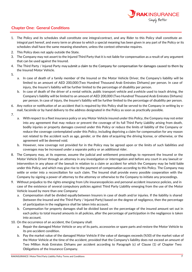

# **Chapter One: General Conditions**

- 1. The Policy and its schedules shall constitute one integral contract, and any Rider to this Policy shall constitute an integral part hereof, and every term or phrase to which a special meaning has been given in any part of the Policy or its schedules shall have the same meaning elsewhere, unless the context otherwise requires.
- 2. This Policy does not apply outside the State.
- 3. The Company may not assert to the Injured Third Party that it is not liable for compensation as a result of any argument that can be used against the Insured.
- 4. The Third Party / Injured Party may submit a claim to the Company for compensation for damages caused to them by the Insured Motor Vehicle.
- 5.
- a. In case of death of a family member of the Insured or the Motor Vehicle Driver, the Company's liability will be limited to an amount of AED 200,000 (Two Hundred Thousand Arab Emirates Dirhams) per person. In case of injury, the Insurer's liability will be further limited to the percentage of disability per person.
- b. In case of death of the driver of a rental vehicle, public transport vehicle and a vehicle used to teach driving, the Company's liability will be limited to an amount of AED 200,000 (Two Hundred Thousand Arab Emirates Dirhams) per person. In case of injury, the Insurer's liability will be further limited to the percentage of disability per person.
- 6. Any notice or notification of an accident that is required by this Policy shall be served to the Company in writing by email, facsimile or by hand delivery to the address designated in the Policy as soon as practically possible.
- 7.
- a. With respect to a fleet insurance policy or any Motor Vehicle insured under this Policy, the Company may not enter into any agreement that may reduce or prevent the coverage of its full Third Party Liability arising from death, bodily injuries or property damages covered under this Policy or reduce the limits of liability of the Company or reduce the coverage contemplated under this Policy, including depriving a claim for compensation for any reason not related to the accident such as age, gender, or the date of acquiring the driving license, or otherwise, or the agreement will be deemed void.
- b. However, new coverage not provided for in the Policy may be agreed upon or the limits of such liabilities and coverages may be increased under a separate policy or an additional rider.
- 8. The Company may, at its expense, assume the judicial and settlement proceedings to represent the Insured or the Motor Vehicle Driver through an attorney in any investigation or interrogation and before any court in any lawsuit or intervention in any phase of the lawsuit in relation to a claim or accident for which the Company may be held liable under this Policy, and which may give rise to the payment of compensation according to this Policy. The Company may settle or enter into a reconciliation for such claim. The Insured shall provide every possible cooperation with the Company by signing a power of attorney to the attorney or otherwise to the Company to initiate any proceedings.
- 9. Without prejudice to the rights emerging from Life insurancepolicies and personal accident insurance policies, and in case of the existence of several compulsory policies against Third Party Liability emerging from the use of the Motor Vehicle issued by more than one Company:
	- a. Compensation shall be divided equally between Insurers in case of death and/or injuries. If the liability is shared (between the Insured and the Third Party / Injured Party) based on the degree of negligence, then the percentage of participation in the negligence shall be taken into account.
	- b. Compensation for property damages shall be divided based on the percentage of the insured amount set out in each policy to total insured amounts in all policies, after the percentage of participation in the negligence is taken into account.
- 10. On the occurrence of an accident, the Company shall:
	- a. Repair the damaged Motor Vehicle or any of its parts, accessories or spare parts and restore the Motor Vehicle to its pre-accident condition.
	- b. Pay the market value of the damaged Motor Vehicle if the value of damages exceeds (%50) of the market value of the Motor Vehicle at the time of the accident, provided that the Company's liability does not exceed an amount of Two Million Arab Emirates Dirhams per accident according to Paragraph (c) of Clause (1) of Chapter Two: Obligations of the Insurance Company.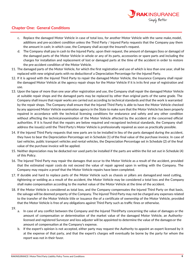

# **Chapter One: General Conditions**

- c. Replace the damaged Motor Vehicle in case of total loss, for another Motor Vehicle with the same make, model, additions and pre-accident condition unless the Third Party / Injured Party requests that the Company pay them the amount in cash; in which case, the Company shall accept the Insured's request.
- d. The Company shall pay in cash to the Injured Party, upon their request, the amount of damages (loss or damage) of the damaged parts of the Motor Vehicle in whole or any of its parts, accessories or spare parts and including the charges for installation and replacement of lost or damaged parts at the time of the accident in order to restore the pre-accident condition of the Motor Vehicle.
- 11. The damaged parts of the Motor Vehicle, for which the first registration and use of which is less than one year, shall be replaced with new original parts with no deduction of a Depreciation Percentage for the Injured Party.
- 12. If it is agreed with the Injured Third Party to repair the damaged Motor Vehicle, the Insurance Company shall repair the damaged Motor Vehicle at the agency repair shops for the Motor Vehicle if it is inits first year of registration and use.
- 13. Upon the lapse of more than one year after registration and use, the Company shall repair the damaged Motor Vehicle at suitable repair shops and the damaged parts may be replaced by other than original parts of the same grade. The Company shall insure that repair works are carried out according to technical standards and that the work is warranted by the repair shops. The Company shall ensure that the Injured Third Party is able to have the Motor Vehicle checked by any approved Motor Vehicle examination agency in the State to make sure that the Motor Vehicle has been properly repaired in accordance with the technical licensing conditions for endurance and safety and any other condition without affecting the technical examination of the Motor Vehicle affected by the accident at the concerned official authorities. If it is found that the repairs are below required and recognized technical standards, the Company shall address the issue(s) until the Third Party's Motor Vehicle is professionally repaired as soon as practically possible.
- 14. If the Injured Third Party requests that new parts are to be installed in lieu of the parts damaged during the accident, they have to bear the Depreciation Percentage set in Schedule (1) of the final value of the purchase invoice. In case of taxi vehicles, public transport vehicles and rental vehicles, the Depreciation Percentage set in Schedule (2) of the final value of the purchase invoice will be applied.
- 15. Neither depreciation may be deducted nor used parts be installed if the parts are within the list set out in Schedule (4) of this Policy.
- 16. The Injured Third Party may repair the damages that occur to the Motor Vehicle as a result of the accident, provided that the estimated repair costs do not exceed the value of repair agreed upon in writing with the Company. The Company may require a proof that the Motor Vehicle repairs have been completed.
- 17. If durable and hard to replace parts of the Motor Vehicle such as chassis or pillars are damaged and need cutting, tightening or welding as a result of the accident, the Motor Vehicle may be considered a total loss and the Company shall make compensation according to the market value of the Motor Vehicle at the time of the accident.
- 18. If the Motor Vehicle is considered as total loss, and the Company compensates the Injured Third Party on that basis, the salvage will be deemed property of the Company. The Injured Third Party may not be charged any expenses related to the transfer of the Motor Vehicle title or issuance the of a certificate of ownership of the Motor Vehicle, provided that the Motor Vehicle is free of any obligations against Third Party such as traffic fines or otherwise.
- 19.
- a. In case of any conflict between the Company and the Injured ThirdParty concerning the value of damages or the amount of compensation or determination of the market value of the damaged Motor Vehicle, an Authoritylicensed and registered Surveyor and loss adjuster will be appointed to determine the value of the damages or the amount of compensation at the Company's expense.
- b. If the expert's opinion is not accepted, either party may request the Authority to appoint an expert licensed by it at the expense of that party, and that the expert's charges will eventually be borne by the party for whom the report was not in their favor.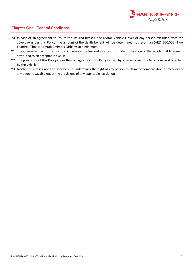

## **Chapter One: General Conditions**

- 20. In case of an agreement to insure the Insured himself, the Motor Vehicle Driver or any person excluded from the coverage under this Policy, the amount of the death benefit will be determined not less than (AED 200,000) Two Hundred Thousand Arab Emirates Dirhams at a minimum.
- 21. The Company may not refuse to compensate the Insured as a result of late notification of the accident, if lateness is attributed to an acceptable excuse.
- 22. The provisions of this Policy cover the damages to a Third Party caused by a trailer or semitrailer as long as it is pulled by the vehicle.
- 23. Neither this Policy nor any rider here to undermines the right of any person to claim for compensation or recovery of any amount payable under the provisions of any applicable legislation.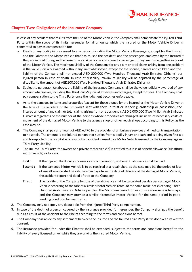

### **Chapter Two Obligations of the Insurance Company :**

In case of any accident that results from the use of the Motor Vehicle, the Company shall compensate the Injured Third Party within the scope of its limits hereunder for all amounts which the Insured or the Motor Vehicle Driver is committed to pay as compensation for:

- a. Death or any bodily injury caused to any person, including the Motor Vehicle Passengers, except for the Insured and the Driver of the Motor Vehicle that has caused the accident, and the passengers employed by the Insured if they are injured during and because of work. A person is considered a passenger if they are inside, getting in or out of the Motor Vehicle. The Maximum Liability of the Company for any claim or total claims arising from one accident is the value judicially awarded without any limit whatsoever, except for the spouse, parents and childre n and the liability of the Company will not exceed AED 200,000 (Two Hundred Thousand Arab Emirates Dirhams) per injured person in case of death. In case of disability, maximum liability will be adjusted by the percentage of disability to the amount of AED200,000 (Two Hundred Thousand Arab Emirates Dirhams).
- b. Subject to paragraph (a) above, the liability of the Insurance Company shall be the value judicially awarded of any amount whatsoever, including the Third Party's judicial expenses and charges, except for fines. The Company shall pay compensation to the Third Party once the judgment becomes enforceable.
- c. As to the damages to items and properties (except for those owned by the Insured or the Motor Vehicle Driver at the time of the accident or the properties kept with them in trust or in their guardianship or possession), the insured amount of any claim or total claims arising from one accident is AED 2,000,000 (Two Million Arab Emirates Dirhams) regardless of the number of the persons whose properties aredamaged, inclusive of necessary costs of movement of the damaged Motor Vehicle to the agency shop or other repair shops according to this Policy, as the case may be.
- d. The Company shall pay an amount of AED 6,770 to the provider of ambulance services and medical transportation to hospitals. The amount is per injured person that suffers from a bodily injury or death and is being given first aid and transported to a hospital as a result of an accident caused by a Motor Vehicle insured by the Company against Third Party Liability.
- e. The Injured Third Party (the owner of a private motor vehicle) is entitled to a loss of benefit allowance (substitute motor vehicle) as follows:
	- **First :** If the Injured Third Party chooses cash compensation, no benefit allowance shall be paid.
	- **Second :** If the damaged Motor Vehicle is to be repaired at a repair shop, as the case may be, the period of loss of use allowance shall be calculated in days from the date of delivery of the damaged Motor Vehicle, the accident report and deed of title to the Company.
	- **Third :** The liability of the Company for loss of use allowance shall be calculated per day per damaged Motor Vehicle according to the fare of a similar Motor Vehicle rental of the same make, not exceeding Three Hundred Arab Emirates Dirhams per day. The Maximum period for loss of use allowance is ten days, and the Company may provide a similar alternative Motor Vehicle for the same period in good working condition for road traffic.
- 2. The Company may not apply any deductible from the Injured Third Party compensation.
- 3. In case of the death of a person covered by the insurance provided for hereunder, the Company shall pay the benefit due as a result of the accident to their heirs according to the terms and conditions hereof.
- 4. The Company shall abide by any settlement between the Insured and the Injured Third Party if it is done with its written consent.
- 5. The insurance provided for under this Chapter shall be extended, subject to the terms and conditions hereof, to the liability of every licensed driver while they are driving the Insured Motor Vehicle.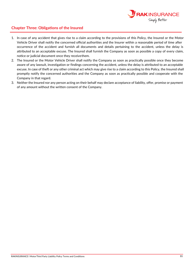

### **Chapter Three: Obligations of the Insured**

- 1. In case of any accident that gives rise to a claim according to the provisions of this Policy, the Insured or the Motor Vehicle Driver shall notify the concerned official authorities and the Insurer within a reasonable period of time after occurrence of the accident and furnish all documents and details pertaining to the accident, unless the delay is attributed to an acceptable excuse. The Insured shall furnish the Company as soon as possible a copy of every claim, notice or judicial document once they receivethem.
- 2. The Insured or the Motor Vehicle Driver shall notify the Company as soon as practically possible once they become aware of any lawsuit, investigation or findings concerning the accident, unless the delay is attributed to an acceptable excuse. In case of theft or any other criminal act which may give rise to a claim according to this Policy, the Insured shall promptly notify the concerned authorities and the Company as soon as practically possible and cooperate with the Company in that regard.
- 3. Neither the Insured nor any person acting on their behalf may declare acceptance of liability, offer, promise or payment of any amount without the written consent of the Company.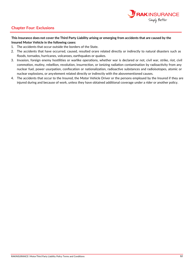

# **Chapter Four: Exclusions**

### **This Insurance does not cover the Third Party Liability arising or emerging from accidents that are caused by the Insured Motor Vehicle in the following cases:**

- 1. The accidents that occur outside the borders of the State.
- 2. The accidents that have occurred, caused, resulted orare related directly or indirectly to natural disasters such as floods, tornados, hurricanes, volcanoes, earthquakes or quakes.
- 3. Invasion, foreign enemy hostilities or warlike operations, whether war is declared or not, civil war, strike, riot, civil commotion, mutiny, rebellion, revolution, insurrection, or ionizing radiation contamination by radioactivity from any nuclear fuel, power usurpation, confiscation or nationalization, radioactive substances and radioisotopes, atomic or nuclear explosions, or anyelement related directly or indirectly with the abovementioned causes.
- 4. The accidents that occur to the Insured, the Motor Vehicle Driver or the persons employed by the Insured if they are injured during and because of work, unless they have obtained additional coverage under a rider or another policy.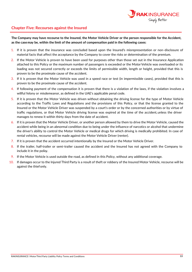

### **Chapter Five: Recourses against the Insured**

**The Company may have recourse to the Insured, the Motor Vehicle Driver or the person responsible for the Accident, as the case may be, within the limit of the amount of compensation paid in the following cases:**

- 1. If it is proven that the insurance was concluded based upon the Insured's misrepresentation or non-disclosure of material facts that affect the acceptance by the Company to cover the risks or determination of the premium.
- 2. If the Motor Vehicle is proven to have been used for purposes other than those set out in the Insurance Application attached to this Policy or the maximum number of passengers is exceeded or the Motor Vehicle was overloaded or its loading was not secured correctly or exceeds the limits of permissible width, length or height, provided that this is proven to be the proximate cause of the accident.
- 3. If it is proven that the Motor Vehicle was used in a speed race or test (in impermissible cases), provided that this is proven to be the proximate cause of the accident.
- 4. If following payment of the compensation it is proven that there is a violation of the laws, if the violation involves a willful felony or misdemeanor, as defined in the UAE's applicable penal code.
- 5. If it is proven that the Motor Vehicle was driven without obtaining the driving license for the type of Motor Vehicle according to the Traffic Laws and Regulations and the provisions of this Policy, or that the license granted to the Insured or the Motor Vehicle Driver was suspended by a court's order or by the concerned authorities or by virtue of traffic regulations, or that Motor Vehicle driving license was expired at the time of the accident, unless the driver manages to renew it within thirty days from the date of accident.
- 6. If it is proven that the Motor Vehicle Driver, or another person allowed by them to drive the Motor Vehicle, caused the accident while being in an abnormal condition due to being under the influence of narcotics or alcohol that undermine the driver's ability to control the Motor Vehicle or medical drugs for which driving is medically prohibited. In case of rental vehicles, recourse will be made against the Motor Vehicle Driver (renter).
- 7. If it is proven that the accident occurred intentionally by the Insured or the Motor Vehicle Driver.
- 8. If the trailer, half-trailer or semi-trailer caused the accident and the Insured has not agreed with the Company to include it in the policy.
- 9. If the Motor Vehicle is used outside the road, as defined in this Policy, without any additional coverage.
- 10. If damages occur to the Injured Third Party is a result of theft or robbery of the Insured Motor Vehicle, recourse will be against the thief only.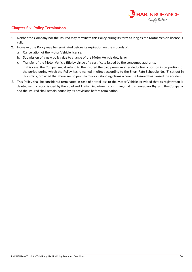

# **Chapter Six: Policy Termination**

- 1. Neither the Company nor the Insured may terminate this Policy during its term as long as the Motor Vehicle license is valid.
- 2. However, the Policy may be terminated before its expiration on the grounds of:
	- a. Cancellation of the Motor Vehicle license;
	- b. Submission of a new policy due to change of the Motor Vehicle details; or
	- c. Transfer of the Motor Vehicle title by virtue of a certificate issued by the concerned authority. In this case, the Companymust refund to the Insured the paid premium after deducting a portion in proportion to the period during which the Policy has remained in effect according to the Short Rate Schedule No. (3) set out in this Policy, provided that there are no paid claims oroutstanding claims where the Insured has caused the accident
- 3. This Policy shall be considered terminated in case of a total loss to the Motor Vehicle, provided that its registration is deleted with a report issued by the Road and Traffic Department confirming that it is unroadworthy, and the Company and the Insured shall remain bound by its provisions before termination.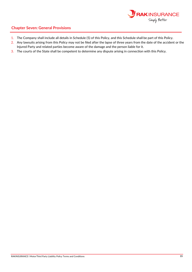

# **Chapter Seven: General Provisions**

- 1. The Company shall include all details in Schedule (5) of this Policy, and this Schedule shall be part of this Policy.
- 2. Any lawsuits arising from this Policy may not be filed after the lapse of three years from the date of the accident or the Injured Party and related parties become aware of the damage and the person liable for it.
- 3. The courts of the State shall be competent to determine any dispute arising in connection with this Policy.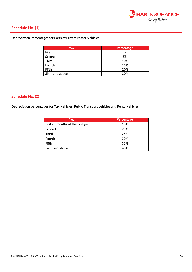

# **Schedule No. (1)**

### **Depreciation Percentages for Parts of Private Motor Vehicles**

| Year            | <b>Percentage</b> |
|-----------------|-------------------|
| First           | -                 |
| Second          | 5%                |
| <b>Third</b>    | 10%               |
| Fourth          | 15%               |
| Fifth           | 20%               |
| Sixth and above | 30%               |

### **) Schedule No. (2**

**Depreciation p vehicles, Public Transport vehicles and Rental v ercentages for Taxi ehicles** 

| Year                              | Percentage |
|-----------------------------------|------------|
| Last six months of the first year | 10%        |
| Second                            | 20%        |
| <b>Third</b>                      | 25%        |
| Fourth                            | 30%        |
| Fifth                             | 35%        |
| Sixth and above                   | 40%        |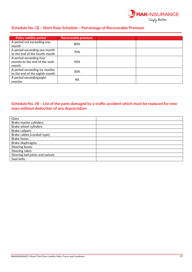

# **Schedule No. (3) – Short Rate Schedule – Percentage of Recoverable Premium**

| Policy validity period                                             | Recoverable premium |  |
|--------------------------------------------------------------------|---------------------|--|
| A period not exceeding one<br>month                                | 80%                 |  |
| A period exceeding one month<br>to the end of the fourth month     | 70%                 |  |
| A period exceeding four<br>months to the end of the sixth<br>month | 50%                 |  |
| A period exceeding six months<br>to the end of the eighth month    | 30%                 |  |
| A period exceeding eight<br>months                                 | Nil                 |  |

## **Schedule No. (4) – List of the parts damaged by a traffic accident which must be replaced for new ones without deduction of any depreciation**

| Glass                            |  |
|----------------------------------|--|
| Brake master cylinders           |  |
| Brake wheel cylinders            |  |
| <b>Brake calipers</b>            |  |
| Brake cables (conduit type)      |  |
| <b>Brake hoses</b>               |  |
| Brake diaphragms                 |  |
| Steering boxes                   |  |
| Steering rakes                   |  |
| Steering ball joints and swivels |  |
| Seat belts                       |  |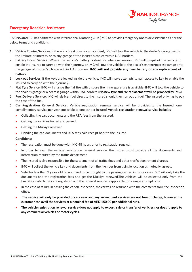

# **Emergency Roadside Assistance**

RAKINSURANCE has partnered with International Motoring Club (IMC) to provide Emergency Roadside Assistance as per the below terms and conditions.

- 1. Vehicle Towing Services: If there is a breakdown or an accident, IMC will tow the vehicle to the dealer's garager within the Emirate or intercity or to any garage of the Insured's choice within UAE borders.
- 2. Battery Boost Service: Where the vehicle's battery is dead for whatever reason, IMC will jumpstart the vehicle to enable the Insured to carry on with their journey, or IMC will tow the vehicle to the dealer's garage/nearest garage or to the garage of Insured's choice within UAE borders. **IMC will not provide any new battery or any replacement of battery.**
- 3. **Lock out Services:** If the keys are locked inside the vehicle, IMC will make attempts to gain access to key to enable the Insured to carry on with their journey.
- 4. **Flat Tyre Service**: IMC will change the flat tire with a spare tire. If no spare tire is available, IMC will tow the vehicle to the dealer's garage or a nearest garage within UAE borders. **(No new tyre and /or replacement will be provided by IMC).**
- 5. **Fuel Delivery Service**: IMC will deliver fuel direct to the Insured should they run out of fuel. The Insured only has to pay the cost of the fuel.
- 6. **Car Registration Renewal Service**: Vehicle registration renewal service will be provided to the Insured, one complimentary service per year applicable to one car per Insured. Vehicle registration renewal service includes;
	- Collecting the car, documents and the RTA fees from the Insured.
	- Getting the vehicles tested and passed.
	- Getting the Mulkiya renewed
	- Handing the car, documents and RTA fees paid receipt back to the Insured.

### **Conditions**:

- The reservation must be done with IMC 48 hours prior to registrationrenewal.
- In order to avail the vehicle registration renewal service, the Insured must provide all the documents and information required by the traffic department.
- The Insured is also responsible for the settlement of all traffic fines and other traffic department charges.
- IMC will collect the vehicle key and documents from the member from a single location as mutually agreed.
- Vehicles less than 3 years old do not need to be brought to the passing center, in those cases IMC will only take the documents and the registration fees and get the Mulkiya renewed.The vehicles will be collected only from the Emirate in which they are registered and the renewal service is applicable for a single attempt only.
- In the case of failure in passing the car on inspection, the car will be returned with the comments from the inspection office.
- **The service will only be provided once a year and any subsequent services are not free of charge, however the customer can avail the services at a nominal fee of AED 150.00 per additional runs.**
- **The vehicle registration renewal service does not apply to export, sale or transfer of vehicles nor does it apply to any commercial vehicles or motor cycles.**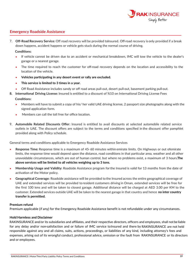

## **Emergency Roadside Assistance**

7. **Off-Road Recovery Service:** Off road recovery will be provided tolnsured. Off-road recovery is only provided if a break down happens, accident happens or vehicle gets stuck during the normal course of driving.

### **Conditions:**

- If vehicle cannot be driven due to an accident or mechanical breakdown, IMC will tow the vehicle to the dealer's garage or a nearest garage.
- The time required to reach the customer for off-road recovery depends on the location and accessibility to the location of the vehicle.
- **Vehicles participating in any desert event or rally are excluded.**
- **This service is limited to 3 times in a year.**
- Off Road Assistance includes sandy or off road areas pull-out, desert pull-out, basement parking pull-out.
- **8. International Driving License:** Insured is entitled to a discount of %10 on International Driving License Fees

### **Conditions**:

- Members will have to submit a copy of his/ her valid UAE driving license, 2 passport size photographs along with the  $\bullet$ signed application form.
- Members can call the toll free for office location.
- 9. **Automobile Related Discounts Offer:** Insured is entitled to avail discounts at selected automobile related service outlets in UAE. The discount offers are subject to the terms and conditions specified in the discount offer pamphlet provided along with Policy schedule.

General terms and conditions applicable to Emergency Roadside Assistance Services

- **Response Time:** Response time is a maximum of 45-60 minutes within emirate limits. On Highways or out ofemirate limits, the response time would depend upon the distance, road conditions in that particular area, weather and all other unavoidable circumstances, which are out of human control, but where no problems exist, a maximum of 3 hours. **The above services will be limited to all vehicles weighing up to 3 tons.**
- **Membership Usage and Validity:** Roadside Assistance program for the Insured is valid for 13 months from the date of activation of the Motor policy.
- **Geographical Coverage:** Roadside assistance will be provided to the Insured across the entire geographical coverage of UAE and extended services will be provided to resident customers driving in Oman, extended services will be free for the first 100 kms and will be taken to closest garage. Additional distance will be charged at AED 3.00 per KM to the customer. Extended services outside UAE will be taken to the nearest garage in that country and hence **no inter country transfer is permitted.**

### **Premium refund**

Premium applicable (if any) for the Emergency Roadside Assistance benefit is not refundable under any circumstances.

### **Hold Harmless and Disclaimer**

RAKINSURANCE and/or its subsidiaries and affiliates, and their respective directors, officers and employees, shall not be liable for any delay and/or non-satisfaction and or failure of IMC service to Insured and there by RAKINSURANCE are not held responsible against any and all claims, suits, actions, proceedings, or liabilities of any kind, including attorney's fees and expenses, arising out of its wrongful conduct, professional advice, omission or the fault from RAKINSURANCE or its directors and or employees.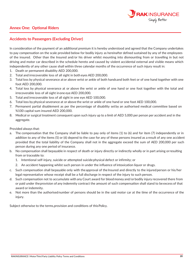

# **Annex One: Optional Riders**

## **Accidents to Passengers (Excluding Driver)**

In consideration of the payment of an additional premium it is hereby understood and agreed that the Company undertakes to pay compensation on the scale provided below for bodily injury as hereinafter defined sustained by any of the employees of the insured. Other than the Insured and/or his driver whilst mounting into dismounting from or travelling in but not driving and motor car described in the schedule hereto and caused by violent accidental external and visible means which independently of any other cause shall within three calendar months of the occurrence of such injury result in:

- 1. Death or permanent disability AED 200,000.
- 2. Total and irrecoverable loss of all sight in both eyes AED 200,000.
- 3. Total loss by physical severance at or above wrist or ankle of both hands and both feet or of one hand together with one foot AED 200,000.
- 4. Total loss by physical severance at or above the wrist or ankle of one hand or one foot together with the total and irrecoverable loss of all sight inone eye AED 200,000.
- 5. Total and irrecoverable loss of all sight in one eye AED 100,000.
- 6. Total loss by physical severance at or above the wrist or ankle of one hand or one foot AED 100,000.
- 7. Permanent partial disablement as per the percentage of disability set by an authorised medical committee based on %100 capital sum insured AED 200,000.
- 8. Medical or surgical treatment consequent upon such injury up to a limit of AED 5,000 per person per accident and in the aggregate.

Provided always that:

- a. The compensation that the Company shall be liable to pay only of items (1) to (6) and for item (7) independently or in addition to any of the items (5) or (6) depend to the case for any of these persons insured as a result of any one accident provided that the total liability of the Company shall not in the aggregate exceed the sum of AED 200,000 per such person during any one period of insurance.
- b. No compensation shall bepayable in respect of death or injury directly or indirectly wholly or in part arising or resulting from or traceable to:
	- 1. Intentional self-injury, suicide or attempted suicide physical defect or infirmity; or
	- 2. An accident happening whilst such person in under the influence of intoxication liquor or drugs.
- c. Such compensation shall bepayable only with the approval of the Insured and directly to the injured person or his/her legal representative whose receipt shall be a full discharge in respect of the injury to such person.
- d. Such compensation not to accumulate with any Court award for blood money and/orbodily injury recovered there from or paid under the provision of any indemnity contract the amount of such compensation shall stand to be excess of that award or indemnity.
- e. Not more than the authorised number of persons should be in the said motor car at the time of the occurrence of the injury.

Subject otherwise to the terms, provision and conditions of this Policy.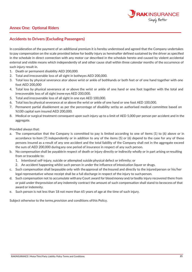

# **Annex One: Optional Riders**

## **Accidents to Drivers (Excluding Passengers)**

In consideration of the payment of an additional premium it is hereby understood and agreed that the Company undertakes to pay compensation on the scale provided below for bodily injury as hereinafter defined sustained by the driver as specified in the schedule in direct connection with any motor car described in the schedule hereto and caused by violent accidental external and visible means which independently of and other cause shall within three calendar months of the occurrence of such injury result in.

- 1. Death or permanent disability AED 200,000.
- 2. Total and irrecoverable loss of all sight in botheyes AED 200,000.
- 3. Total loss by physical severance ator above wrist or ankle of bothhands or both feet or of one hand together with one foot AED 200,000
- 4. Total loss by physical severance at or above the wrist or ankle of one hand or one foot together with the total and irrecoverable loss of all sight inone eye AED 200,000.
- 5. Total and irrecoverable loss of all sight in one eye AED 100,000.
- 6. Total loss by physical severance at or above the wrist or ankle of one hand or one foot AED 100,000.
- 7. Permanent partial disablement as per the percentage of disability set by an authorised medical committee based on %100 capital sum insured AED 200,000.
- 8. Medical or surgical treatment consequent upon such injury up to a limit of AED 5,000 per person per accident and in the aggregate.

Provided always that:

- a. The compensation that the Company is committed to pay is limited according to one of items (1) to (6) above or in accordance to item (7) independently or in addition to any of the items (5) or (6) depend to the case for any of these persons insured as a result of any one accident and the total liability of the Company shall not in the aggregate exceed the sum of AED 200,000 during any one period of insurance in respect of any such person.
- b. No compensation shall be payablein respect of death or injury directly or indirectly wholly or in part arising orresulting from or traceable to:
	- 1. Intentional self-injury, suicide or attempted suicide physical defect or infirmity; or
	- 2. An accident happening whilst such person in under the influence of intoxication liquor or drugs.
- c. Such compensation shall be payable only with the approval of the Insured and directly to the injured person or his/her legal representative whose receipt shall be a full discharge in respect of the injury to suchperson.
- d. Such compensation not to accumulate with any Court award for blood money and/orbodily injury recovered there from or paid under the provision of any indemnity contract the amount of such compensation shall stand to be excess of that award or indemnity.
- e. Such person is not less than 18 not more than 65 years of age at the time of such injury.

Subject otherwise to the terms, provision and conditions of this Policy.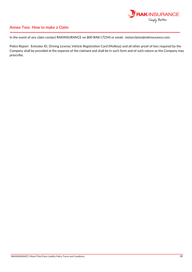

## **Annex Two: How to make a Claim**

In the event of any claim contact RAKINSURANCE on 800 RAKI (7254) or email: motorclaims@rakinsurance.com.

Police Report Emirates ID, Driving License, Vehicle Registration Card (Mulkiya) and all other proof of loss required by the Company shall be provided at the expense of the claimant and shall be in such form and of such nature as the Company may prescribe.